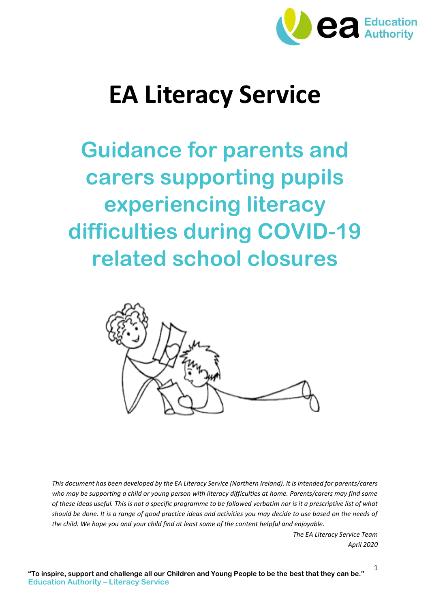

# **EA Literacy Service**

**Guidance for parents and carers supporting pupils experiencing literacy difficulties during COVID-19 related school closures**



*This document has been developed by the EA Literacy Service (Northern Ireland). It is intended for parents/carers*  who may be supporting a child or young person with literacy difficulties at home. Parents/carers may find some *of these ideas useful. This is not a specific programme to be followed verbatim nor is it a prescriptive list of what should be done. It is a range of good practice ideas and activities you may decide to use based on the needs of the child. We hope you and your child find at least some of the content helpful and enjoyable.*

> *The EA Literacy Service Team April 2020*

> > 1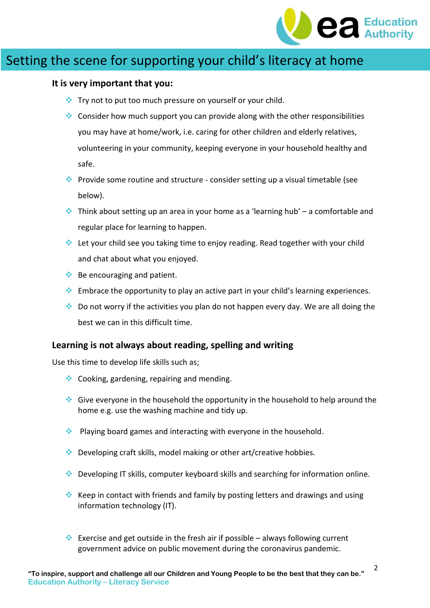

### Setting the scene for supporting your child's literacy at home

#### **It is very important that you:**

- $\cdot$  Try not to put too much pressure on yourself or your child.
- Consider how much support you can provide along with the other responsibilities you may have at home/work, i.e. caring for other children and elderly relatives, volunteering in your community, keeping everyone in your household healthy and safe.
- Provide some routine and structure consider setting up a visual timetable (see below).
- **Think about setting up an area in your home as a 'learning hub' a comfortable and** regular place for learning to happen.
- Let your child see you taking time to enjoy reading. Read together with your child and chat about what you enjoyed.
- $\triangleq$  Be encouraging and patient.
- $\bullet$  Embrace the opportunity to play an active part in your child's learning experiences.
- Do not worry if the activities you plan do not happen every day. We are all doing the best we can in this difficult time.

#### **Learning is not always about reading, spelling and writing**

Use this time to develop life skills such as;

- $\bullet$  Cooking, gardening, repairing and mending.
- Give everyone in the household the opportunity in the household to help around the home e.g. use the washing machine and tidy up.
- $\cdot$  Playing board games and interacting with everyone in the household.
- $\bullet$  Developing craft skills, model making or other art/creative hobbies.
- Developing IT skills, computer keyboard skills and searching for information online.
- Keep in contact with friends and family by posting letters and drawings and using information technology (IT).
- Exercise and get outside in the fresh air if possible always following current government advice on public movement during the coronavirus pandemic.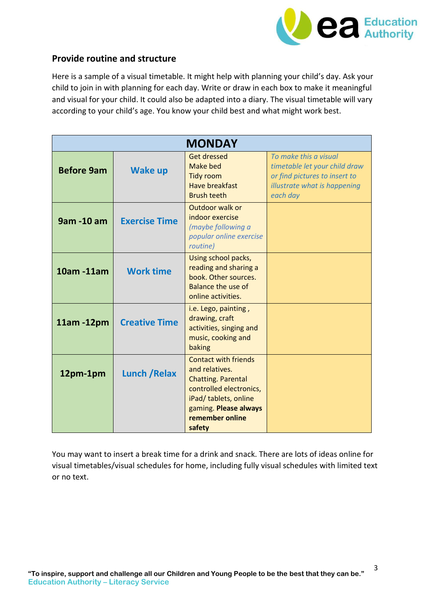

### **Provide routine and structure**

Here is a sample of a visual timetable. It might help with planning your child's day. Ask your child to join in with planning for each day. Write or draw in each box to make it meaningful and visual for your child. It could also be adapted into a diary. The visual timetable will vary according to your child's age. You know your child best and what might work best.

| <b>MONDAY</b>     |                      |                                                                                                                                                                                      |                                                                                                                                     |  |  |
|-------------------|----------------------|--------------------------------------------------------------------------------------------------------------------------------------------------------------------------------------|-------------------------------------------------------------------------------------------------------------------------------------|--|--|
| <b>Before 9am</b> | <b>Wake up</b>       | <b>Get dressed</b><br>Make bed<br><b>Tidy room</b><br><b>Have breakfast</b><br><b>Brush teeth</b>                                                                                    | To make this a visual<br>timetable let your child draw<br>or find pictures to insert to<br>illustrate what is happening<br>each day |  |  |
| 9am -10 am        | <b>Exercise Time</b> | Outdoor walk or<br>indoor exercise<br>(maybe following a<br>popular online exercise<br>routine)                                                                                      |                                                                                                                                     |  |  |
| 10am -11am        | <b>Work time</b>     | Using school packs,<br>reading and sharing a<br>book. Other sources.<br><b>Balance the use of</b><br>online activities.                                                              |                                                                                                                                     |  |  |
| 11am -12pm        | <b>Creative Time</b> | i.e. Lego, painting,<br>drawing, craft<br>activities, singing and<br>music, cooking and<br>baking                                                                                    |                                                                                                                                     |  |  |
| 12pm-1pm          | <b>Lunch / Relax</b> | <b>Contact with friends</b><br>and relatives.<br><b>Chatting. Parental</b><br>controlled electronics,<br>iPad/ tablets, online<br>gaming. Please always<br>remember online<br>safety |                                                                                                                                     |  |  |

You may want to insert a break time for a drink and snack. There are lots of ideas online for visual timetables/visual schedules for home, including fully visual schedules with limited text or no text.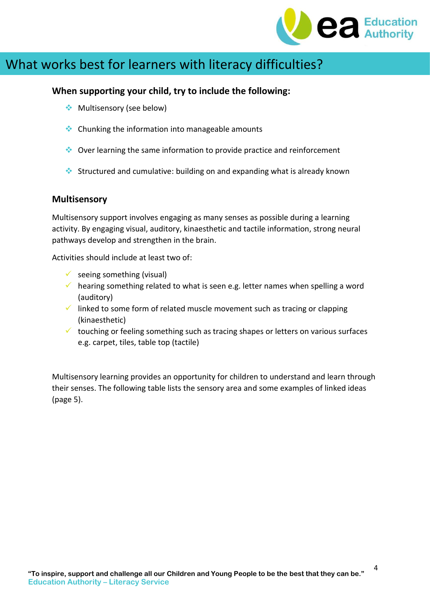

## What works best for learners with literacy difficulties?

### **When supporting your child, try to include the following:**

- ◆ Multisensory (see below)
- $\triangle$  Chunking the information into manageable amounts
- Over learning the same information to provide practice and reinforcement
- Structured and cumulative: building on and expanding what is already known

### **Multisensory**

Multisensory support involves engaging as many senses as possible during a learning activity. By engaging visual, auditory, kinaesthetic and tactile information, strong neural pathways develop and strengthen in the brain.

Activities should include at least two of:

- $\checkmark$  seeing something (visual)
- $\checkmark$  hearing something related to what is seen e.g. letter names when spelling a word (auditory)
- $\checkmark$  linked to some form of related muscle movement such as tracing or clapping (kinaesthetic)
- $\checkmark$  touching or feeling something such as tracing shapes or letters on various surfaces e.g. carpet, tiles, table top (tactile)

Multisensory learning provides an opportunity for children to understand and learn through their senses. The following table lists the sensory area and some examples of linked ideas (page 5).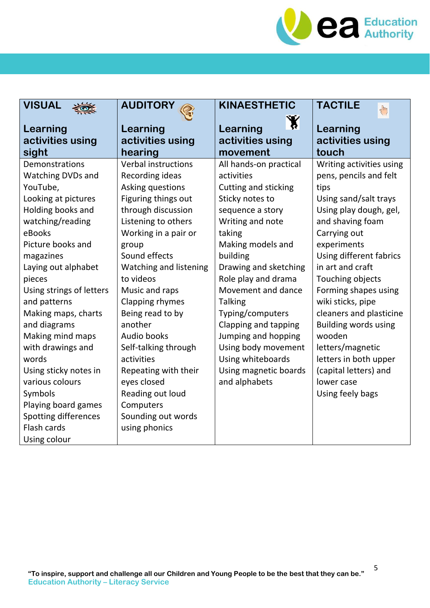

| <b>VISUAL</b>                                                                                                                                                                                                                                                                                                                                                                                                                                                        | <b>AUDITORY</b>                                                                                                                                                                                                                                                                                                                                                                                                                                                        | <b>KINAESTHETIC</b>                                                                                                                                                                                                                                                                                                                                                                                                 | <b>TACTILE</b><br>$\sqrt{\frac{h}{h}}$                                                                                                                                                                                                                                                                                                                                                                                                                       |
|----------------------------------------------------------------------------------------------------------------------------------------------------------------------------------------------------------------------------------------------------------------------------------------------------------------------------------------------------------------------------------------------------------------------------------------------------------------------|------------------------------------------------------------------------------------------------------------------------------------------------------------------------------------------------------------------------------------------------------------------------------------------------------------------------------------------------------------------------------------------------------------------------------------------------------------------------|---------------------------------------------------------------------------------------------------------------------------------------------------------------------------------------------------------------------------------------------------------------------------------------------------------------------------------------------------------------------------------------------------------------------|--------------------------------------------------------------------------------------------------------------------------------------------------------------------------------------------------------------------------------------------------------------------------------------------------------------------------------------------------------------------------------------------------------------------------------------------------------------|
| Learning<br>activities using<br>sight                                                                                                                                                                                                                                                                                                                                                                                                                                | Learning<br>activities using<br>hearing                                                                                                                                                                                                                                                                                                                                                                                                                                | $\mathbf{X}$<br>Learning<br>activities using<br>movement                                                                                                                                                                                                                                                                                                                                                            | Learning<br>activities using<br>touch                                                                                                                                                                                                                                                                                                                                                                                                                        |
| Demonstrations<br><b>Watching DVDs and</b><br>YouTube,<br>Looking at pictures<br>Holding books and<br>watching/reading<br>eBooks<br>Picture books and<br>magazines<br>Laying out alphabet<br>pieces<br>Using strings of letters<br>and patterns<br>Making maps, charts<br>and diagrams<br>Making mind maps<br>with drawings and<br>words<br>Using sticky notes in<br>various colours<br>Symbols<br>Playing board games<br><b>Spotting differences</b><br>Flash cards | <b>Verbal instructions</b><br>Recording ideas<br>Asking questions<br>Figuring things out<br>through discussion<br>Listening to others<br>Working in a pair or<br>group<br>Sound effects<br>Watching and listening<br>to videos<br>Music and raps<br>Clapping rhymes<br>Being read to by<br>another<br>Audio books<br>Self-talking through<br>activities<br>Repeating with their<br>eyes closed<br>Reading out loud<br>Computers<br>Sounding out words<br>using phonics | All hands-on practical<br>activities<br>Cutting and sticking<br>Sticky notes to<br>sequence a story<br>Writing and note<br>taking<br>Making models and<br>building<br>Drawing and sketching<br>Role play and drama<br>Movement and dance<br><b>Talking</b><br>Typing/computers<br>Clapping and tapping<br>Jumping and hopping<br>Using body movement<br>Using whiteboards<br>Using magnetic boards<br>and alphabets | Writing activities using<br>pens, pencils and felt<br>tips<br>Using sand/salt trays<br>Using play dough, gel,<br>and shaving foam<br>Carrying out<br>experiments<br>Using different fabrics<br>in art and craft<br>Touching objects<br>Forming shapes using<br>wiki sticks, pipe<br>cleaners and plasticine<br><b>Building words using</b><br>wooden<br>letters/magnetic<br>letters in both upper<br>(capital letters) and<br>lower case<br>Using feely bags |
| Using colour                                                                                                                                                                                                                                                                                                                                                                                                                                                         |                                                                                                                                                                                                                                                                                                                                                                                                                                                                        |                                                                                                                                                                                                                                                                                                                                                                                                                     |                                                                                                                                                                                                                                                                                                                                                                                                                                                              |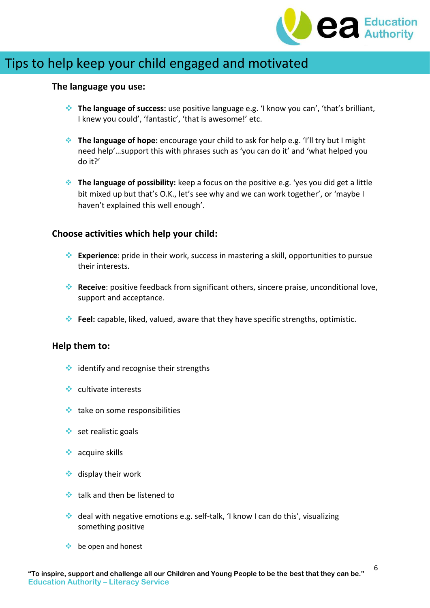

### Tips to help keep your child engaged and motivated

#### **The language you use:**

- **The language of success:** use positive language e.g. 'I know you can', 'that's brilliant, I knew you could', 'fantastic', 'that is awesome!' etc.
- **The language of hope:** encourage your child to ask for help e.g. 'I'll try but I might need help'…support this with phrases such as 'you can do it' and 'what helped you do it?'
- **The language of possibility:** keep a focus on the positive e.g. 'yes you did get a little bit mixed up but that's O.K., let's see why and we can work together', or 'maybe I haven't explained this well enough'.

### **Choose activities which help your child:**

- **Experience**: pride in their work, success in mastering a skill, opportunities to pursue their interests.
- **Receive**: positive feedback from significant others, sincere praise, unconditional love, support and acceptance.
- **Feel:** capable, liked, valued, aware that they have specific strengths, optimistic.

#### **Help them to:**

- $\triangleq$  identify and recognise their strengths
- $\bullet$  cultivate interests
- $\triangleq$  take on some responsibilities
- $\triangleleft$  set realistic goals
- $\triangleleft$  acquire skills
- $\triangleleft$  display their work
- $\cdot$  talk and then be listened to
- $\cdot$  deal with negative emotions e.g. self-talk, 'I know I can do this', visualizing something positive
- $\triangleq$  be open and honest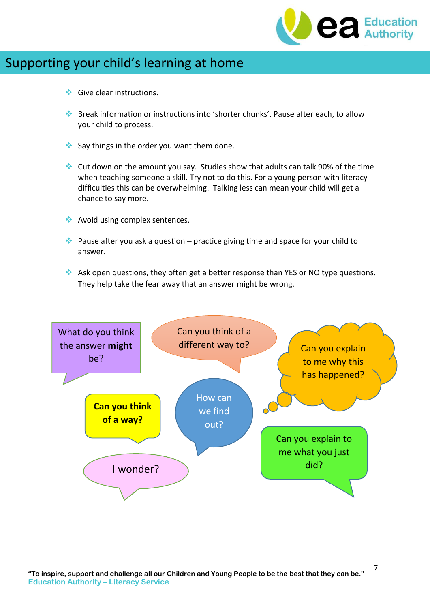

## Supporting your child's learning at home

- $\triangle$  Give clear instructions.
- Break information or instructions into 'shorter chunks'. Pause after each, to allow your child to process.
- $\bullet$  Say things in the order you want them done.
- Cut down on the amount you say. Studies show that adults can talk 90% of the time when teaching someone a skill. Try not to do this. For a young person with literacy difficulties this can be overwhelming. Talking less can mean your child will get a chance to say more.
- ◆ Avoid using complex sentences.
- Pause after you ask a question practice giving time and space for your child to answer.
- Ask open questions, they often get a better response than YES or NO type questions. They help take the fear away that an answer might be wrong.